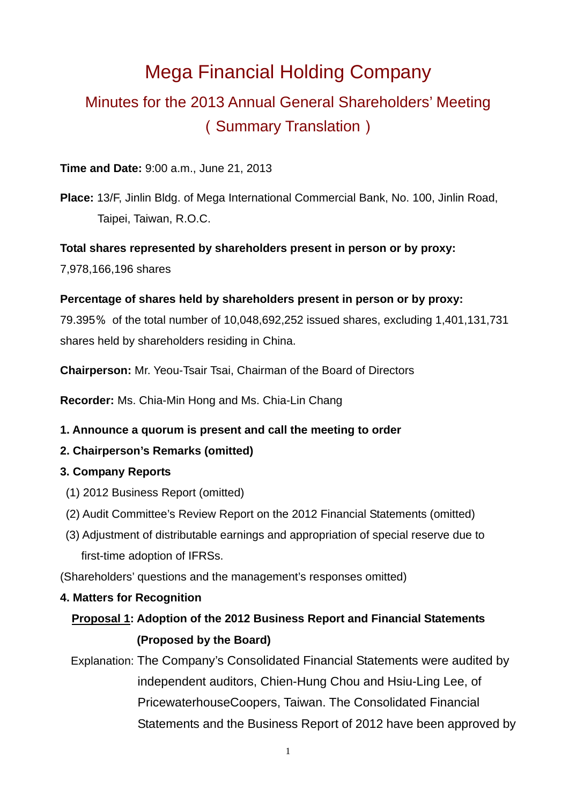# Mega Financial Holding Company Minutes for the 2013 Annual General Shareholders' Meeting (Summary Translation)

### **Time and Date:** 9:00 a.m., June 21, 2013

**Place:** 13/F, Jinlin Bldg. of Mega International Commercial Bank, No. 100, Jinlin Road, Taipei, Taiwan, R.O.C.

### **Total shares represented by shareholders present in person or by proxy:**

7,978,166,196 shares

### **Percentage of shares held by shareholders present in person or by proxy:**

79.395% of the total number of 10,048,692,252 issued shares, excluding 1,401,131,731 shares held by shareholders residing in China.

**Chairperson:** Mr. Yeou-Tsair Tsai, Chairman of the Board of Directors

**Recorder:** Ms. Chia-Min Hong and Ms. Chia-Lin Chang

## **1. Announce a quorum is present and call the meeting to order**

## **2. Chairperson's Remarks (omitted)**

## **3. Company Reports**

- (1) 2012 Business Report (omitted)
- (2) Audit Committee's Review Report on the 2012 Financial Statements (omitted)
- (3) Adjustment of distributable earnings and appropriation of special reserve due to first-time adoption of IFRSs.

(Shareholders' questions and the management's responses omitted)

## **4. Matters for Recognition**

# **Proposal 1: Adoption of the 2012 Business Report and Financial Statements (Proposed by the Board)**

Explanation: The Company's Consolidated Financial Statements were audited by independent auditors, Chien-Hung Chou and Hsiu-Ling Lee, of PricewaterhouseCoopers, Taiwan. The Consolidated Financial Statements and the Business Report of 2012 have been approved by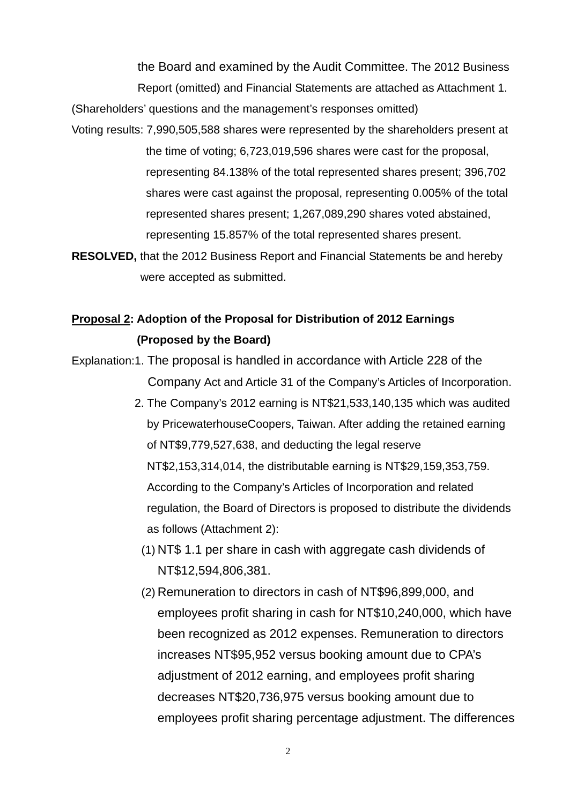the Board and examined by the Audit Committee. The 2012 Business Report (omitted) and Financial Statements are attached as Attachment 1. (Shareholders' questions and the management's responses omitted)

- Voting results: 7,990,505,588 shares were represented by the shareholders present at the time of voting; 6,723,019,596 shares were cast for the proposal, representing 84.138% of the total represented shares present; 396,702 shares were cast against the proposal, representing 0.005% of the total represented shares present; 1,267,089,290 shares voted abstained, representing 15.857% of the total represented shares present.
- **RESOLVED,** that the 2012 Business Report and Financial Statements be and hereby were accepted as submitted.

# **Proposal 2: Adoption of the Proposal for Distribution of 2012 Earnings (Proposed by the Board)**

Explanation:1. The proposal is handled in accordance with Article 228 of the Company Act and Article 31 of the Company's Articles of Incorporation.

- 2. The Company's 2012 earning is NT\$21,533,140,135 which was audited by PricewaterhouseCoopers, Taiwan. After adding the retained earning of NT\$9,779,527,638, and deducting the legal reserve NT\$2,153,314,014, the distributable earning is NT\$29,159,353,759. According to the Company's Articles of Incorporation and related regulation, the Board of Directors is proposed to distribute the dividends as follows (Attachment 2):
	- (1) NT\$ 1.1 per share in cash with aggregate cash dividends of NT\$12,594,806,381.
	- (2) Remuneration to directors in cash of NT\$96,899,000, and employees profit sharing in cash for NT\$10,240,000, which have been recognized as 2012 expenses. Remuneration to directors increases NT\$95,952 versus booking amount due to CPA's adjustment of 2012 earning, and employees profit sharing decreases NT\$20,736,975 versus booking amount due to employees profit sharing percentage adjustment. The differences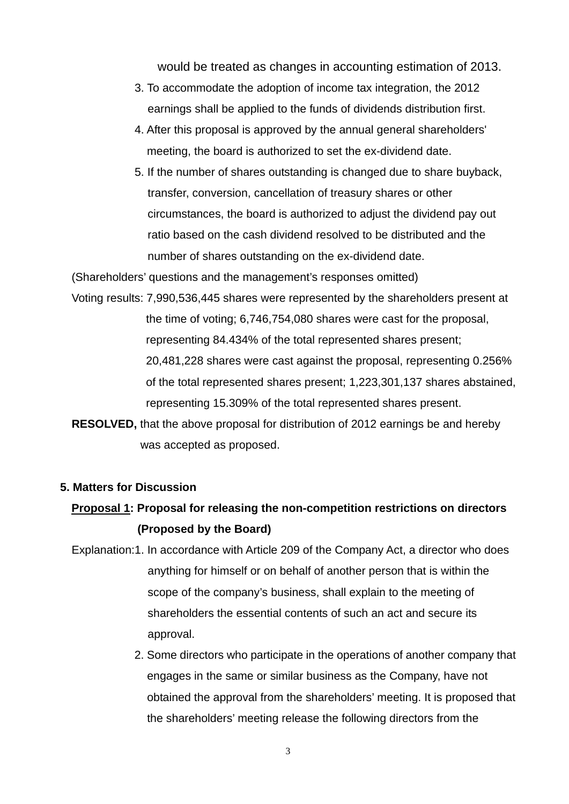would be treated as changes in accounting estimation of 2013.

- 3. To accommodate the adoption of income tax integration, the 2012 earnings shall be applied to the funds of dividends distribution first.
- 4. After this proposal is approved by the annual general shareholders' meeting, the board is authorized to set the ex-dividend date.
- 5. If the number of shares outstanding is changed due to share buyback, transfer, conversion, cancellation of treasury shares or other circumstances, the board is authorized to adjust the dividend pay out ratio based on the cash dividend resolved to be distributed and the number of shares outstanding on the ex-dividend date.

(Shareholders' questions and the management's responses omitted)

- Voting results: 7,990,536,445 shares were represented by the shareholders present at the time of voting; 6,746,754,080 shares were cast for the proposal, representing 84.434% of the total represented shares present; 20,481,228 shares were cast against the proposal, representing 0.256% of the total represented shares present; 1,223,301,137 shares abstained, representing 15.309% of the total represented shares present.
- **RESOLVED,** that the above proposal for distribution of 2012 earnings be and hereby was accepted as proposed.

### **5. Matters for Discussion**

# **Proposal 1: Proposal for releasing the non-competition restrictions on directors (Proposed by the Board)**

- Explanation:1. In accordance with Article 209 of the Company Act, a director who does anything for himself or on behalf of another person that is within the scope of the company's business, shall explain to the meeting of shareholders the essential contents of such an act and secure its approval.
	- 2. Some directors who participate in the operations of another company that engages in the same or similar business as the Company, have not obtained the approval from the shareholders' meeting. It is proposed that the shareholders' meeting release the following directors from the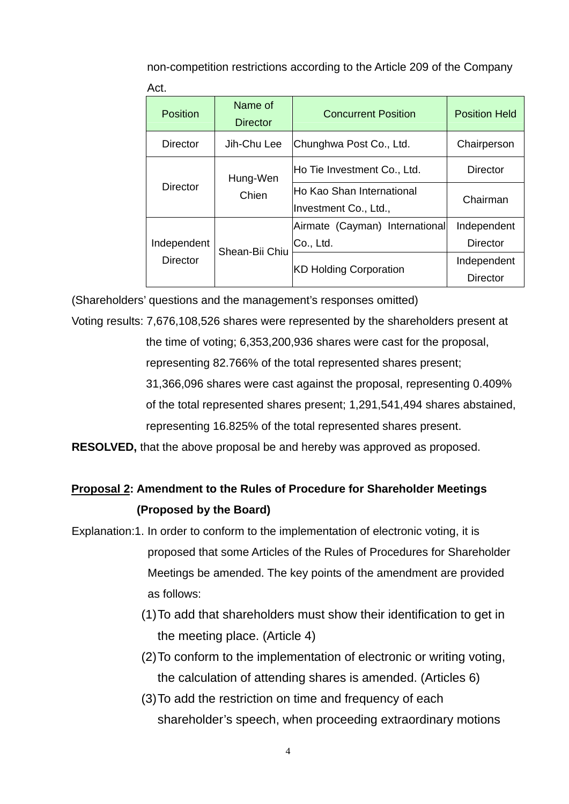non-competition restrictions according to the Article 209 of the Company Act.

| <b>Position</b> | Name of<br><b>Director</b> | <b>Concurrent Position</b>                                | <b>Position Held</b> |
|-----------------|----------------------------|-----------------------------------------------------------|----------------------|
| <b>Director</b> | Jih-Chu Lee                | Chunghwa Post Co., Ltd.                                   | Chairperson          |
|                 | Hung-Wen                   | Ho Tie Investment Co., Ltd.                               | <b>Director</b>      |
| <b>Director</b> | Chien                      | <b>Ho Kao Shan International</b><br>Investment Co., Ltd., | Chairman             |
|                 |                            | Airmate (Cayman) International                            | Independent          |
| Independent     | Shean-Bii Chiu             | Co., Ltd.                                                 | Director             |
| <b>Director</b> |                            | <b>KD Holding Corporation</b>                             | Independent          |
|                 |                            |                                                           | Director             |

(Shareholders' questions and the management's responses omitted)

Voting results: 7,676,108,526 shares were represented by the shareholders present at the time of voting; 6,353,200,936 shares were cast for the proposal, representing 82.766% of the total represented shares present; 31,366,096 shares were cast against the proposal, representing 0.409% of the total represented shares present; 1,291,541,494 shares abstained, representing 16.825% of the total represented shares present.

**RESOLVED,** that the above proposal be and hereby was approved as proposed.

# **Proposal 2: Amendment to the Rules of Procedure for Shareholder Meetings (Proposed by the Board)**

- Explanation:1. In order to conform to the implementation of electronic voting, it is proposed that some Articles of the Rules of Procedures for Shareholder Meetings be amended. The key points of the amendment are provided as follows:
	- (1) To add that shareholders must show their identification to get in the meeting place. (Article 4)
	- (2) To conform to the implementation of electronic or writing voting, the calculation of attending shares is amended. (Articles 6)
	- (3) To add the restriction on time and frequency of each shareholder's speech, when proceeding extraordinary motions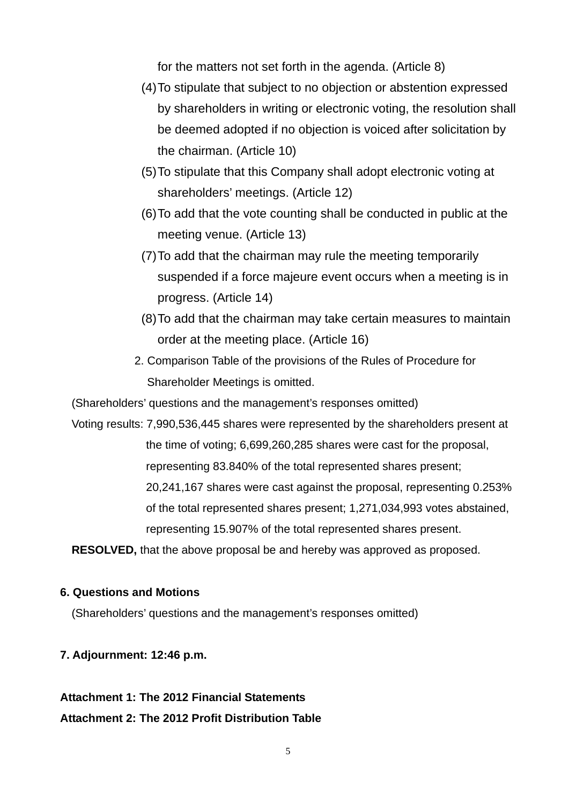for the matters not set forth in the agenda. (Article 8)

- (4) To stipulate that subject to no objection or abstention expressed by shareholders in writing or electronic voting, the resolution shall be deemed adopted if no objection is voiced after solicitation by the chairman. (Article 10)
- (5) To stipulate that this Company shall adopt electronic voting at shareholders' meetings. (Article 12)
- (6) To add that the vote counting shall be conducted in public at the meeting venue. (Article 13)
- (7) To add that the chairman may rule the meeting temporarily suspended if a force majeure event occurs when a meeting is in progress. (Article 14)
- (8) To add that the chairman may take certain measures to maintain order at the meeting place. (Article 16)
- 2. Comparison Table of the provisions of the Rules of Procedure for Shareholder Meetings is omitted.

(Shareholders' questions and the management's responses omitted)

Voting results: 7,990,536,445 shares were represented by the shareholders present at the time of voting; 6,699,260,285 shares were cast for the proposal, representing 83.840% of the total represented shares present; 20,241,167 shares were cast against the proposal, representing 0.253% of the total represented shares present; 1,271,034,993 votes abstained, representing 15.907% of the total represented shares present.

**RESOLVED,** that the above proposal be and hereby was approved as proposed.

### **6. Questions and Motions**

(Shareholders' questions and the management's responses omitted)

### **7. Adjournment: 12:46 p.m.**

### **Attachment 1: The 2012 Financial Statements**

**Attachment 2: The 2012 Profit Distribution Table**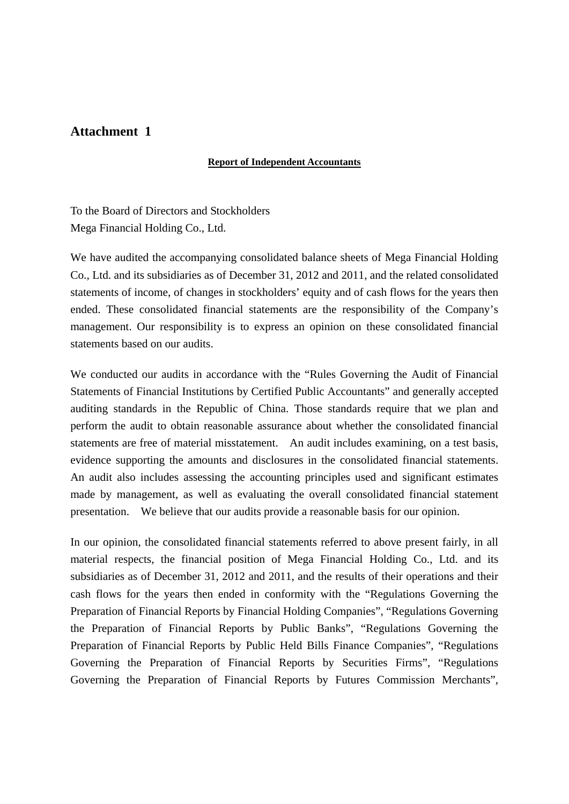### **Attachment 1**

### **Report of Independent Accountants**

To the Board of Directors and Stockholders Mega Financial Holding Co., Ltd.

We have audited the accompanying consolidated balance sheets of Mega Financial Holding Co., Ltd. and its subsidiaries as of December 31, 2012 and 2011, and the related consolidated statements of income, of changes in stockholders' equity and of cash flows for the years then ended. These consolidated financial statements are the responsibility of the Company's management. Our responsibility is to express an opinion on these consolidated financial statements based on our audits.

We conducted our audits in accordance with the "Rules Governing the Audit of Financial Statements of Financial Institutions by Certified Public Accountants" and generally accepted auditing standards in the Republic of China. Those standards require that we plan and perform the audit to obtain reasonable assurance about whether the consolidated financial statements are free of material misstatement. An audit includes examining, on a test basis, evidence supporting the amounts and disclosures in the consolidated financial statements. An audit also includes assessing the accounting principles used and significant estimates made by management, as well as evaluating the overall consolidated financial statement presentation. We believe that our audits provide a reasonable basis for our opinion.

In our opinion, the consolidated financial statements referred to above present fairly, in all material respects, the financial position of Mega Financial Holding Co., Ltd. and its subsidiaries as of December 31, 2012 and 2011, and the results of their operations and their cash flows for the years then ended in conformity with the "Regulations Governing the Preparation of Financial Reports by Financial Holding Companies", "Regulations Governing the Preparation of Financial Reports by Public Banks", "Regulations Governing the Preparation of Financial Reports by Public Held Bills Finance Companies", "Regulations Governing the Preparation of Financial Reports by Securities Firms", "Regulations Governing the Preparation of Financial Reports by Futures Commission Merchants",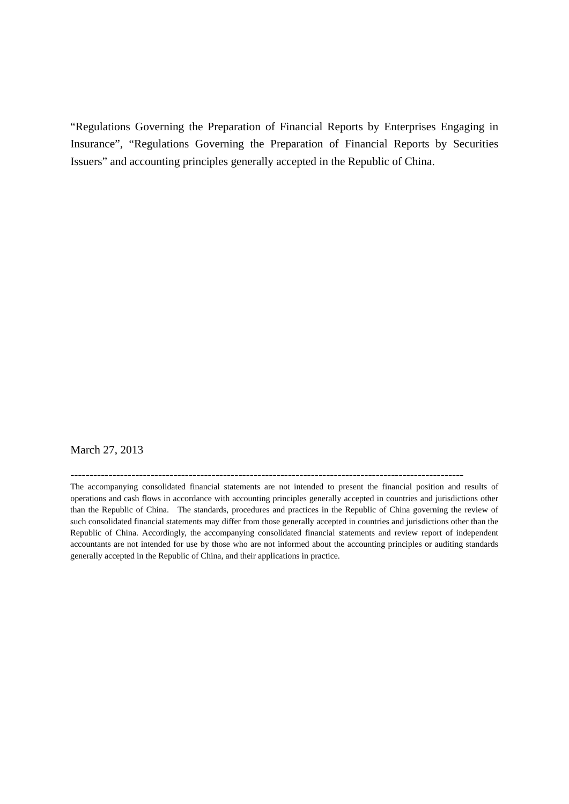"Regulations Governing the Preparation of Financial Reports by Enterprises Engaging in Insurance", "Regulations Governing the Preparation of Financial Reports by Securities Issuers" and accounting principles generally accepted in the Republic of China.

### March 27, 2013

**-------------------------------------------------------------------------------------------------------**

The accompanying consolidated financial statements are not intended to present the financial position and results of operations and cash flows in accordance with accounting principles generally accepted in countries and jurisdictions other than the Republic of China. The standards, procedures and practices in the Republic of China governing the review of such consolidated financial statements may differ from those generally accepted in countries and jurisdictions other than the Republic of China. Accordingly, the accompanying consolidated financial statements and review report of independent accountants are not intended for use by those who are not informed about the accounting principles or auditing standards generally accepted in the Republic of China, and their applications in practice.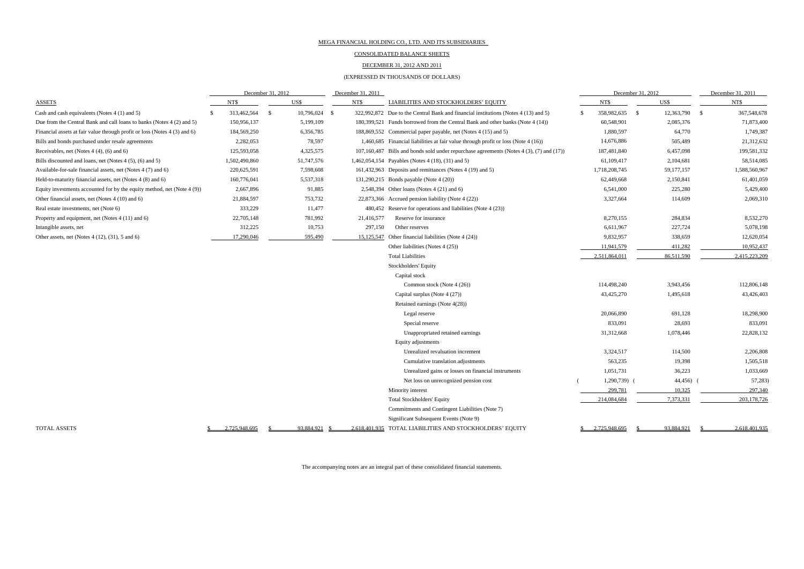#### CONSOLIDATED BALANCE SHEETS

#### DECEMBER 31, 2012 AND 2011

#### (EXPRESSED IN THOUSANDS OF DOLLARS)

|                                                                           |  | December 31, 2012 |      |            | December 31, 2011 |            |                                                                                          | December 31, 2012 |               |                            |           | December 31, 2011 |               |
|---------------------------------------------------------------------------|--|-------------------|------|------------|-------------------|------------|------------------------------------------------------------------------------------------|-------------------|---------------|----------------------------|-----------|-------------------|---------------|
| ASSETS                                                                    |  | NT\$              |      | US\$       |                   | NT\$       | LIABILITIES AND STOCKHOLDERS' EQUITY                                                     |                   | NT\$          | US\$                       |           |                   | NT\$          |
| Cash and cash equivalents (Notes 4 (1) and 5)                             |  | 313,462,564       | - \$ | 10,796,024 | - \$              |            | 322,992,872 Due to the Central Bank and financial institutions (Notes 4 (13) and 5)      | S                 | 358,982,635   | 12,363,790<br>$\mathbf{s}$ |           | - S               | 367,548,678   |
| Due from the Central Bank and call loans to banks (Notes 4 (2) and 5)     |  | 150,956,137       |      | 5,199,109  |                   |            | 180,399,521 Funds borrowed from the Central Bank and other banks (Note 4 (14))           |                   | 60,548,901    |                            | 2,085,376 |                   | 71,873,400    |
| Financial assets at fair value through profit or loss (Notes 4 (3) and 6) |  | 184,569,250       |      | 6,356,785  |                   |            | 188,869,552 Commercial paper payable, net (Notes 4 (15) and 5)                           |                   | 1,880,597     |                            | 64,770    |                   | 1,749,387     |
| Bills and bonds purchased under resale agreements                         |  | 2,282,053         |      | 78,597     |                   |            | 1,460,685 Financial liabilities at fair value through profit or loss (Note 4 (16))       |                   | 14,676,886    |                            | 505,489   |                   | 21,312,632    |
| Receivables, net (Notes $4(4)$ , $(6)$ and $6)$ )                         |  | 125,593,058       |      | 4,325,575  |                   |            | 107,160,487 Bills and bonds sold under repurchase agreements (Notes 4 (3), (7) and (17)) |                   | 187,481,840   |                            | 6,457,098 |                   | 199,581,332   |
| Bills discounted and loans, net (Notes 4 (5), (6) and 5)                  |  | 1,502,490,860     |      | 51,747,576 |                   |            | 1,462,054,154 Payables (Notes 4 (18), (31) and 5)                                        |                   | 61,109,417    | 2,104,681                  |           |                   | 58,514,085    |
| Available-for-sale financial assets, net (Notes 4 (7) and 6)              |  | 220,625,591       |      | 7,598,608  |                   |            | 161,432,963 Deposits and remittances (Notes 4 (19) and 5)                                |                   | 1,718,208,745 | 59,177,157                 |           |                   | 1,588,560,967 |
| Held-to-maturity financial assets, net (Notes 4 (8) and 6)                |  | 160,776,041       |      | 5,537,318  |                   |            | 131,290,215 Bonds payable (Note 4 (20))                                                  |                   | 62,449,668    | 2,150,841                  |           |                   | 61,401,059    |
| Equity investments accounted for by the equity method, net (Note 4 (9))   |  | 2,667,896         |      | 91,885     |                   |            | 2,548,394 Other loans (Notes 4 (21) and 6)                                               |                   | 6,541,000     |                            | 225,280   |                   | 5,429,400     |
| Other financial assets, net (Notes 4 (10) and 6)                          |  | 21,884,597        |      | 753,732    |                   |            | 22,873,366 Accrued pension liability (Note 4 (22))                                       |                   | 3,327,664     |                            | 114,609   |                   | 2,069,310     |
| Real estate investments, net (Note 6)                                     |  | 333,229           |      | 11,477     |                   |            | 480,452 Reserve for operations and liabilities (Note 4 (23))                             |                   |               |                            |           |                   |               |
| Property and equipment, net (Notes 4 (11) and 6)                          |  | 22,705,148        |      | 781,992    |                   | 21,416,577 | Reserve for insurance                                                                    |                   | 8,270,155     |                            | 284,834   |                   | 8,532,270     |
| Intangible assets, net                                                    |  | 312,225           |      | 10,753     |                   | 297,150    | Other reserves                                                                           |                   | 6,611,967     |                            | 227,724   |                   | 5,078,198     |
| Other assets, net (Notes 4 (12), (31), 5 and 6)                           |  | 17,290,046        |      | 595,490    |                   | 15,125,547 | Other financial liabilities (Note 4 (24))                                                |                   | 9,832,957     |                            | 338,659   |                   | 12,620,054    |
|                                                                           |  |                   |      |            |                   |            | Other liabilities (Notes 4 (25))                                                         |                   | 11,941,579    |                            | 411,282   |                   | 10,952,437    |
|                                                                           |  |                   |      |            |                   |            | <b>Total Liabilities</b>                                                                 |                   | 2,511,864,011 | 86,511,590                 |           |                   | 2,415,223,209 |
|                                                                           |  |                   |      |            |                   |            | Stockholders' Equity                                                                     |                   |               |                            |           |                   |               |
|                                                                           |  |                   |      |            |                   |            | Capital stock                                                                            |                   |               |                            |           |                   |               |
|                                                                           |  |                   |      |            |                   |            | Common stock (Note 4 (26))                                                               |                   | 114,498,240   |                            | 3,943,456 |                   | 112,806,148   |
|                                                                           |  |                   |      |            |                   |            | Capital surplus (Note 4 (27))                                                            |                   | 43,425,270    |                            | 1,495,618 |                   | 43,426,403    |
|                                                                           |  |                   |      |            |                   |            | Retained earnings (Note 4(28))                                                           |                   |               |                            |           |                   |               |
|                                                                           |  |                   |      |            |                   |            | Legal reserve                                                                            |                   | 20,066,890    |                            | 691,128   |                   | 18,298,900    |
|                                                                           |  |                   |      |            |                   |            | Special reserve                                                                          |                   | 833,091       |                            | 28,693    |                   | 833,091       |
|                                                                           |  |                   |      |            |                   |            | Unappropriated retained earnings                                                         |                   | 31,312,668    |                            | 1,078,446 |                   | 22,828,132    |
|                                                                           |  |                   |      |            |                   |            | Equity adjustments                                                                       |                   |               |                            |           |                   |               |
|                                                                           |  |                   |      |            |                   |            | Unrealized revaluation increment                                                         |                   | 3,324,517     |                            | 114,500   |                   | 2,206,808     |
|                                                                           |  |                   |      |            |                   |            | Cumulative translation adjustments                                                       |                   | 563,235       |                            | 19,398    |                   | 1,505,518     |
|                                                                           |  |                   |      |            |                   |            | Unrealized gains or losses on financial instruments                                      |                   | 1,051,731     |                            | 36,223    |                   | 1,033,669     |
|                                                                           |  |                   |      |            |                   |            | Net loss on unrecognized pension cost                                                    |                   | 1,290,739)    |                            | 44,456)   |                   | 57,283)       |
|                                                                           |  |                   |      |            |                   |            | Minority interest                                                                        |                   | 299,781       |                            | 10,325    |                   | 297,340       |
|                                                                           |  |                   |      |            |                   |            | <b>Total Stockholders' Equity</b>                                                        |                   | 214,084,684   | 7,373,331                  |           |                   | 203,178,726   |
|                                                                           |  |                   |      |            |                   |            | Commitments and Contingent Liabilities (Note 7)                                          |                   |               |                            |           |                   |               |
|                                                                           |  |                   |      |            |                   |            | Significant Subsequent Events (Note 9)                                                   |                   |               |                            |           |                   |               |
| <b>TOTAL ASSETS</b>                                                       |  | 2.725.948.695     |      | 93.884.921 |                   |            | 2.618.401.935 TOTAL LIABILITIES AND STOCKHOLDERS' EQUITY                                 |                   | 2.725.948.695 | 93.884.921                 |           |                   | 2.618.401.935 |

The accompanying notes are an integral part of these consolidated financial statements.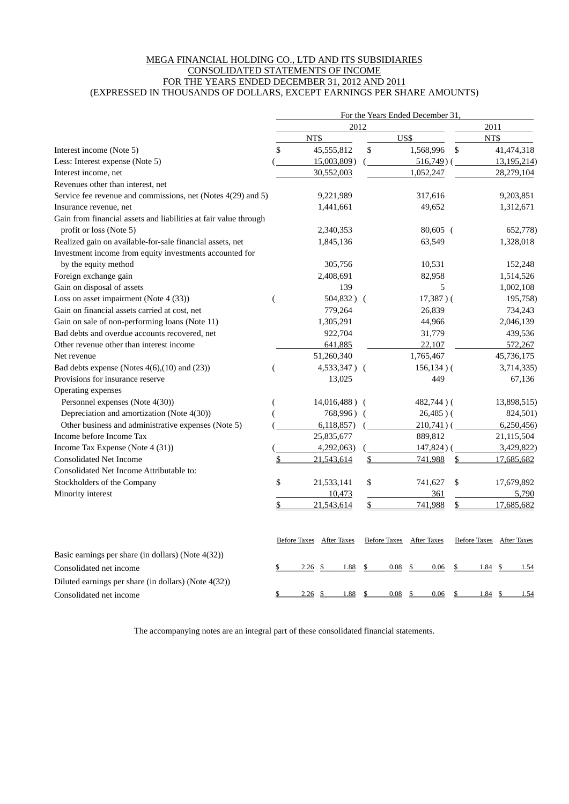#### MEGA FINANCIAL HOLDING CO., LTD AND ITS SUBSIDIARIES CONSOLIDATED STATEMENTS OF INCOME FOR THE YEARS ENDED DECEMBER 31, 2012 AND 2011 (EXPRESSED IN THOUSANDS OF DOLLARS, EXCEPT EARNINGS PER SHARE AMOUNTS)

|                                                                  |                  |                          |      |      | For the Years Ended December 31, |       |                          |
|------------------------------------------------------------------|------------------|--------------------------|------|------|----------------------------------|-------|--------------------------|
|                                                                  |                  |                          | 2012 |      |                                  | 2011  |                          |
|                                                                  |                  | NT\$                     |      | US\$ |                                  | NT\$  |                          |
| Interest income (Note 5)                                         | \$               | 45,555,812               |      | \$   | 1,568,996                        | \$    | 41,474,318               |
| Less: Interest expense (Note 5)                                  |                  | 15,003,809)              |      |      | $516,749$ ) (                    |       | 13,195,214)              |
| Interest income, net                                             |                  | 30,552,003               |      |      | 1,052,247                        |       | 28,279,104               |
| Revenues other than interest, net                                |                  |                          |      |      |                                  |       |                          |
| Service fee revenue and commissions, net (Notes 4(29) and 5)     |                  | 9,221,989                |      |      | 317,616                          |       | 9,203,851                |
| Insurance revenue, net                                           |                  | 1,441,661                |      |      | 49,652                           |       | 1,312,671                |
| Gain from financial assets and liabilities at fair value through |                  |                          |      |      |                                  |       |                          |
| profit or loss (Note 5)                                          |                  | 2,340,353                |      |      | $80,605$ (                       |       | 652,778)                 |
| Realized gain on available-for-sale financial assets, net        |                  | 1,845,136                |      |      | 63,549                           |       | 1,328,018                |
| Investment income from equity investments accounted for          |                  |                          |      |      |                                  |       |                          |
| by the equity method                                             |                  | 305,756                  |      |      | 10,531                           |       | 152,248                  |
| Foreign exchange gain                                            |                  | 2,408,691                |      |      | 82,958                           |       | 1,514,526                |
| Gain on disposal of assets                                       |                  | 139                      |      |      | 5                                |       | 1,002,108                |
| Loss on asset impairment (Note 4 (33))                           | $\overline{(\ }$ | $504,832$ ) (            |      |      | $17,387$ )(                      |       | 195,758)                 |
| Gain on financial assets carried at cost, net                    |                  | 779,264                  |      |      | 26,839                           |       | 734,243                  |
| Gain on sale of non-performing loans (Note 11)                   |                  | 1,305,291                |      |      | 44,966                           |       | 2,046,139                |
| Bad debts and overdue accounts recovered, net                    |                  | 922,704                  |      |      | 31,779                           |       | 439,536                  |
| Other revenue other than interest income                         |                  | 641,885                  |      |      | 22,107                           |       | 572,267                  |
| Net revenue                                                      |                  | 51,260,340               |      |      | 1,765,467                        |       | 45,736,175               |
| Bad debts expense (Notes $4(6)$ , $(10)$ and $(23)$ )            |                  | 4,533,347) (             |      |      | $156, 134)$ (                    |       | 3,714,335)               |
| Provisions for insurance reserve                                 |                  | 13,025                   |      |      | 449                              |       | 67,136                   |
| Operating expenses                                               |                  |                          |      |      |                                  |       |                          |
| Personnel expenses (Note 4(30))                                  |                  | $14,016,488$ ) (         |      |      | $482,744$ ) (                    |       | 13,898,515)              |
| Depreciation and amortization (Note 4(30))                       |                  | 768,996) (               |      |      | $26,485$ )(                      |       | 824,501)                 |
| Other business and administrative expenses (Note 5)              |                  | 6,118,857                |      |      | $210,741$ ) (                    |       | 6,250,456                |
| Income before Income Tax                                         |                  | 25,835,677               |      |      | 889,812                          |       | 21,115,504               |
| Income Tax Expense (Note 4 (31))                                 |                  | 4,292,063)               |      |      | $147,824$ ) (                    |       | 3,429,822)               |
| <b>Consolidated Net Income</b>                                   | \$               | 21,543,614               |      | \$   | 741,988                          | \$    | 17,685,682               |
| Consolidated Net Income Attributable to:                         |                  |                          |      |      |                                  |       |                          |
| Stockholders of the Company                                      | \$               | 21,533,141               |      | \$   | 741,627                          | \$    | 17,679,892               |
| Minority interest                                                |                  | 10,473                   |      |      | 361                              |       | 5,790                    |
|                                                                  | \$               | 21,543,614               |      | \$   | 741,988                          | \$    | 17,685,682               |
|                                                                  |                  | Before Taxes After Taxes |      |      | Before Taxes After Taxes         |       | Before Taxes After Taxes |
| Basic earnings per share (in dollars) (Note $4(32)$ )            |                  |                          |      |      |                                  |       |                          |
| Consolidated net income                                          |                  | 1.88<br>2.26<br>-8       |      | 0.08 | 0.06                             | 1.84  | 1.54                     |
| Diluted earnings per share (in dollars) (Note 4(32))             |                  |                          |      |      |                                  |       |                          |
| Consolidated net income                                          | \$               | 1.88<br>2.26<br>- \$     |      | 0.08 | 0.06                             | 1.84S | 1.54                     |

The accompanying notes are an integral part of these consolidated financial statements.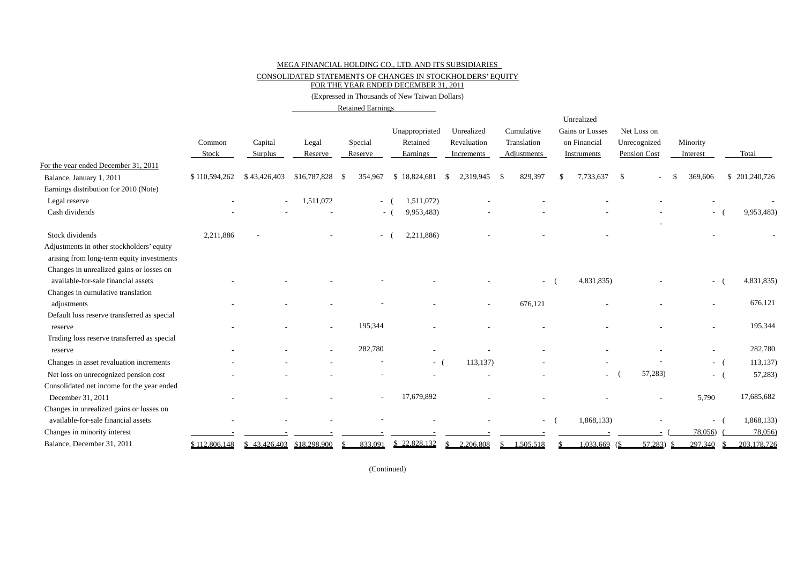CONSOLIDATED STATEMENTS OF CHANGES IN STOCKHOLDERS' EQUITY

FOR THE YEAR ENDED DECEMBER 31, 2011

(Expressed in Thousands of New Taiwan Dollars)

Retained Earnings

|                                             | Common<br>Stock | Capital<br>Surplus         | Legal<br>Reserve | Special<br>Reserve | Unappropriated<br>Retained<br>Earnings |            | Unrealized<br>Revaluation<br>Increments |      | Cumulative<br>Translation<br>Adjustments |    | Unrealized<br>Gains or Losses<br>on Financial<br>Instruments | Net Loss on<br>Unrecognized<br>Pension Cost | Minority<br>Interest     | Total         |
|---------------------------------------------|-----------------|----------------------------|------------------|--------------------|----------------------------------------|------------|-----------------------------------------|------|------------------------------------------|----|--------------------------------------------------------------|---------------------------------------------|--------------------------|---------------|
| For the year ended December 31, 2011        |                 |                            |                  |                    |                                        |            |                                         |      |                                          |    |                                                              |                                             |                          |               |
| Balance, January 1, 2011                    | \$110,594,262   | \$43,426,403               | \$16,787,828     | 354,967<br>-S      | \$18,824,681                           |            | 2,319,945<br>S.                         | - \$ | 829,397                                  | -S | 7,733,637                                                    | \$                                          | 369,606                  | \$201,240,726 |
| Earnings distribution for 2010 (Note)       |                 |                            |                  |                    |                                        |            |                                         |      |                                          |    |                                                              |                                             |                          |               |
| Legal reserve                               |                 |                            | 1,511,072        |                    | $\sim$                                 | 1,511,072) |                                         |      |                                          |    |                                                              |                                             |                          |               |
| Cash dividends                              |                 |                            |                  |                    | $-1$                                   | 9,953,483) |                                         |      |                                          |    |                                                              |                                             | $\sim$                   | 9,953,483)    |
| Stock dividends                             | 2,211,886       |                            |                  |                    | $\sim$                                 | 2,211,886) |                                         |      |                                          |    |                                                              |                                             |                          |               |
| Adjustments in other stockholders' equity   |                 |                            |                  |                    |                                        |            |                                         |      |                                          |    |                                                              |                                             |                          |               |
| arising from long-term equity investments   |                 |                            |                  |                    |                                        |            |                                         |      |                                          |    |                                                              |                                             |                          |               |
| Changes in unrealized gains or losses on    |                 |                            |                  |                    |                                        |            |                                         |      |                                          |    |                                                              |                                             |                          |               |
| available-for-sale financial assets         |                 |                            |                  |                    |                                        |            |                                         |      |                                          |    | 4,831,835)                                                   |                                             | $\overline{\phantom{0}}$ | 4,831,835)    |
| Changes in cumulative translation           |                 |                            |                  |                    |                                        |            |                                         |      |                                          |    |                                                              |                                             |                          |               |
| adjustments                                 |                 |                            |                  |                    |                                        |            |                                         |      | 676,121                                  |    |                                                              |                                             |                          | 676,121       |
| Default loss reserve transferred as special |                 |                            |                  |                    |                                        |            |                                         |      |                                          |    |                                                              |                                             |                          |               |
| reserve                                     |                 |                            |                  | 195,344            |                                        |            |                                         |      |                                          |    |                                                              |                                             | $\overline{\phantom{0}}$ | 195,344       |
| Trading loss reserve transferred as special |                 |                            |                  |                    |                                        |            |                                         |      |                                          |    |                                                              |                                             |                          |               |
| reserve                                     |                 |                            |                  | 282,780            |                                        |            |                                         |      |                                          |    |                                                              |                                             | $\overline{a}$           | 282,780       |
| Changes in asset revaluation increments     |                 |                            |                  |                    |                                        | - (        | 113,137)                                |      |                                          |    |                                                              |                                             | - (                      | 113,137       |
| Net loss on unrecognized pension cost       |                 |                            |                  |                    |                                        |            |                                         |      |                                          |    | $\overline{a}$                                               | 57,283)                                     | $-1$                     | 57,283)       |
| Consolidated net income for the year ended  |                 |                            |                  |                    |                                        |            |                                         |      |                                          |    |                                                              |                                             |                          |               |
| December 31, 2011                           |                 |                            |                  |                    | 17,679,892                             |            |                                         |      |                                          |    |                                                              |                                             | 5,790                    | 17,685,682    |
| Changes in unrealized gains or losses on    |                 |                            |                  |                    |                                        |            |                                         |      |                                          |    |                                                              |                                             |                          |               |
| available-for-sale financial assets         |                 |                            |                  |                    |                                        |            |                                         |      | $\overline{\phantom{a}}$                 |    | 1,868,133)                                                   |                                             | $\sim$                   | 1,868,133)    |
| Changes in minority interest                |                 |                            |                  |                    |                                        |            |                                         |      |                                          |    |                                                              |                                             | 78,056)                  | 78,056)       |
| Balance, December 31, 2011                  | \$112,806,148   | \$ 43,426,403 \$18,298,900 |                  | 833,091            | \$22,828,132                           |            | 2,206,808<br>\$                         |      | 1,505,518                                |    | 1,033,669                                                    | 57,283<br>(S                                | 297,340                  | 203,178,726   |

(Continued)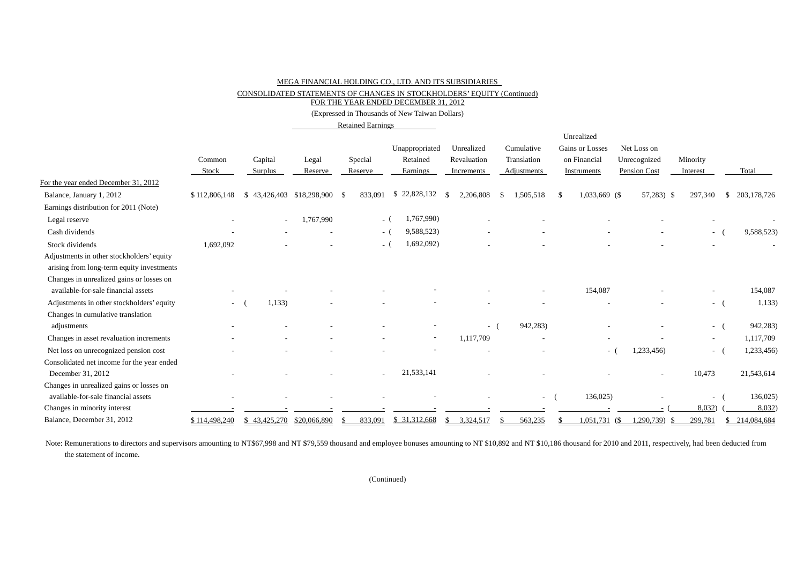CONSOLIDATED STATEMENTS OF CHANGES IN STOCKHOLDERS' EQUITY (Continued)

FOR THE YEAR ENDED DECEMBER 31, 2012

(Expressed in Thousands of New Taiwan Dollars)

Retained Earnings

|                                            |                          |                           |           |         |                          |                 |                   |        | Unrealized      |              |                          |                   |
|--------------------------------------------|--------------------------|---------------------------|-----------|---------|--------------------------|-----------------|-------------------|--------|-----------------|--------------|--------------------------|-------------------|
|                                            |                          |                           |           |         | Unappropriated           | Unrealized      | Cumulative        |        | Gains or Losses | Net Loss on  |                          |                   |
|                                            | Common                   | Capital                   | Legal     | Special | Retained                 | Revaluation     | Translation       |        | on Financial    | Unrecognized | Minority                 |                   |
|                                            | Stock                    | Surplus                   | Reserve   | Reserve | Earnings                 | Increments      | Adjustments       |        | Instruments     | Pension Cost | Interest                 | Total             |
| For the year ended December 31, 2012       |                          |                           |           |         |                          |                 |                   |        |                 |              |                          |                   |
| Balance, January 1, 2012                   | \$112,806,148            | \$43,426,403 \$18,298,900 |           | 833.091 | \$22,828,132             | 2,206,808<br>-S | 1,505,518<br>- \$ | -8     | 1,033,669 (\$   | $57,283$ \$  | 297,340                  | 203,178,726<br>-S |
| Earnings distribution for 2011 (Note)      |                          |                           |           |         |                          |                 |                   |        |                 |              |                          |                   |
| Legal reserve                              |                          |                           | 1,767,990 |         | 1,767,990)<br>$-$ (      |                 |                   |        |                 |              |                          |                   |
| Cash dividends                             |                          |                           |           |         | 9,588,523)<br>$-$ (      |                 |                   |        |                 |              | $\sim$                   | 9,588,523)        |
| Stock dividends                            | 1,692,092                |                           |           |         | 1,692,092)<br>- (        |                 |                   |        |                 |              |                          |                   |
| Adjustments in other stockholders' equity  |                          |                           |           |         |                          |                 |                   |        |                 |              |                          |                   |
| arising from long-term equity investments  |                          |                           |           |         |                          |                 |                   |        |                 |              |                          |                   |
| Changes in unrealized gains or losses on   |                          |                           |           |         |                          |                 |                   |        |                 |              |                          |                   |
| available-for-sale financial assets        |                          |                           |           |         |                          |                 |                   |        | 154,087         |              |                          | 154,087           |
| Adjustments in other stockholders' equity  | $\overline{\phantom{a}}$ | 1,133                     |           |         |                          |                 |                   |        |                 |              | $\sim$                   | 1,133)            |
| Changes in cumulative translation          |                          |                           |           |         |                          |                 |                   |        |                 |              |                          |                   |
| adjustments                                |                          |                           |           |         |                          | $\sim$          | 942,283)          |        |                 |              | $\sim$ 10 $\pm$          | 942,283)          |
| Changes in asset revaluation increments    |                          |                           |           |         | $\overline{\phantom{a}}$ | 1,117,709       |                   |        |                 |              | $\sim$                   | 1,117,709         |
| Net loss on unrecognized pension cost      |                          |                           |           |         |                          |                 |                   |        | $\sim$          | 1,233,456)   | $\sim$                   | 1,233,456)        |
| Consolidated net income for the year ended |                          |                           |           |         |                          |                 |                   |        |                 |              |                          |                   |
| December 31, 2012                          |                          |                           |           | $\sim$  | 21,533,141               |                 |                   |        |                 |              | 10,473                   | 21,543,614        |
| Changes in unrealized gains or losses on   |                          |                           |           |         |                          |                 |                   |        |                 |              |                          |                   |
| available-for-sale financial assets        |                          |                           |           |         |                          |                 |                   | $\sim$ | 136,025)        |              | $\overline{\phantom{a}}$ | 136,025)          |
| Changes in minority interest               |                          |                           |           |         |                          |                 |                   |        |                 |              | 8,032)                   | 8,032             |
| Balance, December 31, 2012                 | \$114,498,240            | \$43,425,270 \$20,066,890 |           | 833.091 | \$31,312,668             | 3,324,517<br>S. | 563,235           |        | $1,051,731$ (\$ | ,290,739)    | 299,781                  | 214,084,684       |

Note: Remunerations to directors and supervisors amounting to NT\$67,998 and NT \$79,559 thousand and employee bonuses amounting to NT \$10,892 and NT \$10,186 thousand for 2010 and 2011, respectively, had been deducted from the statement of income.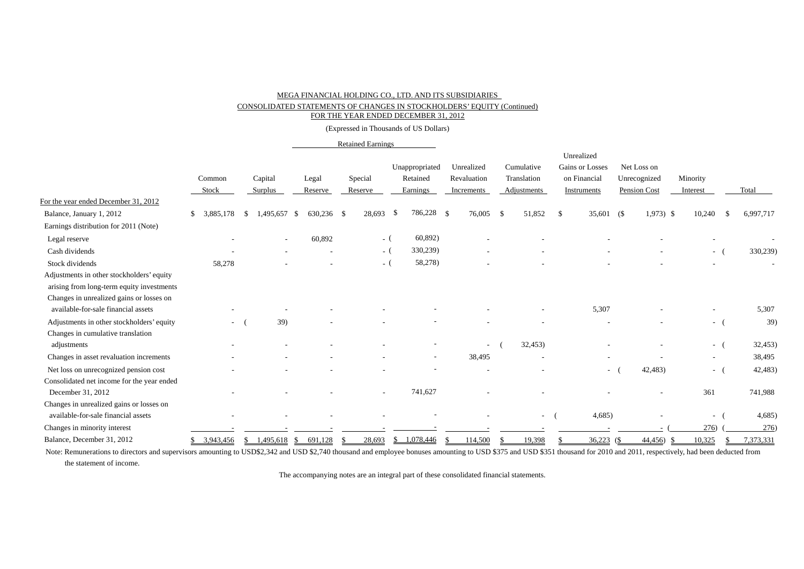#### CONSOLIDATED STATEMENTS OF CHANGES IN STOCKHOLDERS' EQUITY (Continued)

FOR THE YEAR ENDED DECEMBER 31, 2012

(Expressed in Thousands of US Dollars)

#### Retained Earnings

|                                            |                            |                 |                    |         |                   |               |     |             | Unrealized      |              |              |                          |           |
|--------------------------------------------|----------------------------|-----------------|--------------------|---------|-------------------|---------------|-----|-------------|-----------------|--------------|--------------|--------------------------|-----------|
|                                            |                            |                 |                    |         | Unappropriated    | Unrealized    |     | Cumulative  | Gains or Losses |              | Net Loss on  |                          |           |
|                                            | Common                     | Capital         | Legal              | Special | Retained          | Revaluation   |     | Translation | on Financial    |              | Unrecognized | Minority                 |           |
|                                            | Stock                      | Surplus         | Reserve            | Reserve | Earnings          | Increments    |     | Adjustments | Instruments     |              | Pension Cost | Interest                 | Total     |
| For the year ended December 31, 2012       |                            |                 |                    |         |                   |               |     |             |                 |              |              |                          |           |
| Balance, January 1, 2012                   | 3,885,178<br><sup>\$</sup> | 1,495,657<br>£. | 630,236 \$<br>- \$ | 28,693  | 786,228           | -\$<br>76,005 | -\$ | 51,852      | 35,601<br>-S    | (S           | $1,973$ \$   | 10,240                   | 6,997,717 |
| Earnings distribution for 2011 (Note)      |                            |                 |                    |         |                   |               |     |             |                 |              |              |                          |           |
| Legal reserve                              |                            |                 | 60,892             |         | 60,892)<br>$-$ (  |               |     |             |                 |              |              |                          |           |
| Cash dividends                             |                            |                 |                    |         | 330,239)<br>$-$ ( |               |     |             |                 |              |              | - (                      | 330,239)  |
| Stock dividends                            | 58,278                     |                 |                    |         | 58,278)<br>- (    |               |     |             |                 |              |              |                          |           |
| Adjustments in other stockholders' equity  |                            |                 |                    |         |                   |               |     |             |                 |              |              |                          |           |
| arising from long-term equity investments  |                            |                 |                    |         |                   |               |     |             |                 |              |              |                          |           |
| Changes in unrealized gains or losses on   |                            |                 |                    |         |                   |               |     |             |                 |              |              |                          |           |
| available-for-sale financial assets        |                            |                 |                    |         |                   |               |     |             | 5,307           |              |              |                          | 5,307     |
| Adjustments in other stockholders' equity  | $\overline{\phantom{a}}$   | 39)             |                    |         |                   |               |     |             |                 |              |              | $ -$                     | 39)       |
| Changes in cumulative translation          |                            |                 |                    |         |                   |               |     |             |                 |              |              |                          |           |
| adjustments                                |                            |                 |                    |         |                   |               |     | 32,453)     |                 |              |              | - (                      | 32,453)   |
| Changes in asset revaluation increments    |                            |                 |                    |         |                   | 38,495        |     |             |                 |              |              | $\overline{\phantom{a}}$ | 38,495    |
| Net loss on unrecognized pension cost      |                            |                 |                    |         |                   |               |     |             |                 | $\sim$       | 42,483)      | $\sim$                   | 42,483)   |
| Consolidated net income for the year ended |                            |                 |                    |         |                   |               |     |             |                 |              |              |                          |           |
| December 31, 2012                          |                            |                 |                    |         | 741,627           |               |     |             |                 |              |              | 361                      | 741,988   |
| Changes in unrealized gains or losses on   |                            |                 |                    |         |                   |               |     |             |                 |              |              |                          |           |
| available-for-sale financial assets        |                            |                 |                    |         |                   |               |     | $\sim$      | 4,685           |              |              | $\sim$                   | 4,685     |
| Changes in minority interest               |                            |                 |                    |         |                   |               |     |             |                 |              |              | 276)                     | 276)      |
| Balance, December 31, 2012                 | 3,943,456                  |                 | 691,128            | 28,693  | 1,078,446<br>S.   | 114,500       |     | 19,398      |                 | $36,223$ (\$ | 44,456<br>-S | 10,325                   | 7,373,331 |

Note: Remunerations to directors and supervisors amounting to USD\$2,342 and USD \$2,740 thousand and employee bonuses amounting to USD \$375 and USD \$351 thousand for 2010 and 2011, respectively, had been deducted from the statement of income.

The accompanying notes are an integral part of these consolidated financial statements.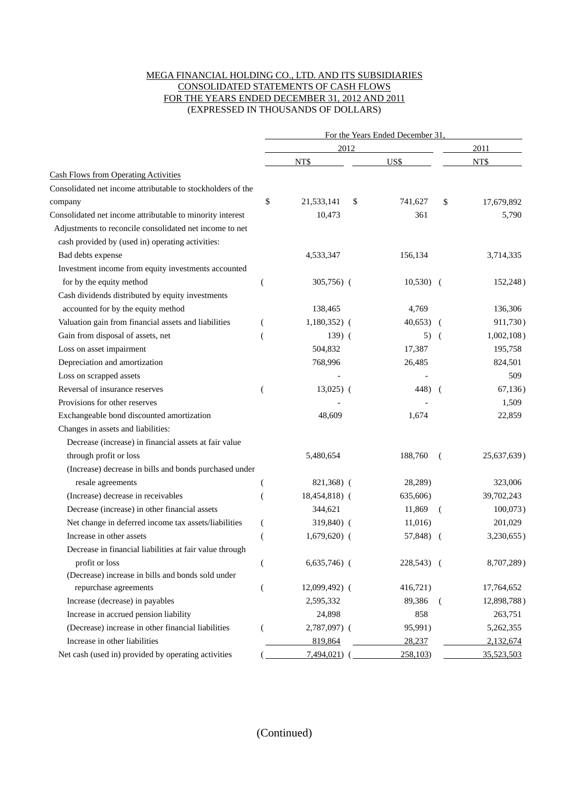#### MEGA FINANCIAL HOLDING CO., LTD. AND ITS SUBSIDIARIES CONSOLIDATED STATEMENTS OF CASH FLOWS FOR THE YEARS ENDED DECEMBER 31, 2012 AND 2011 (EXPRESSED IN THOUSANDS OF DOLLARS)

|                                                             |                |                 |      | For the Years Ended December 31. |                |               |
|-------------------------------------------------------------|----------------|-----------------|------|----------------------------------|----------------|---------------|
|                                                             |                |                 | 2012 |                                  |                | 2011          |
|                                                             |                | NT\$            |      | US\$                             |                | NT\$          |
| <b>Cash Flows from Operating Activities</b>                 |                |                 |      |                                  |                |               |
| Consolidated net income attributable to stockholders of the |                |                 |      |                                  |                |               |
| company                                                     | \$             | 21,533,141      | \$   | 741,627                          | \$             | 17,679,892    |
| Consolidated net income attributable to minority interest   |                | 10,473          |      | 361                              |                | 5,790         |
| Adjustments to reconcile consolidated net income to net     |                |                 |      |                                  |                |               |
| cash provided by (used in) operating activities:            |                |                 |      |                                  |                |               |
| Bad debts expense                                           |                | 4,533,347       |      | 156,134                          |                | 3,714,335     |
| Investment income from equity investments accounted         |                |                 |      |                                  |                |               |
| for by the equity method                                    | €              | $305,756$ (     |      | $10,530$ (                       |                | 152,248)      |
| Cash dividends distributed by equity investments            |                |                 |      |                                  |                |               |
| accounted for by the equity method                          |                | 138,465         |      | 4,769                            |                | 136,306       |
| Valuation gain from financial assets and liabilities        | €              | $1,180,352$ (   |      | 40,653)                          | $\overline{ }$ | 911,730)      |
| Gain from disposal of assets, net                           |                | $139)$ (        |      | 5)                               | $\sqrt{ }$     | $1,002,108$ ) |
| Loss on asset impairment                                    |                | 504,832         |      | 17,387                           |                | 195,758       |
| Depreciation and amortization                               |                | 768,996         |      | 26,485                           |                | 824,501       |
| Loss on scrapped assets                                     |                |                 |      |                                  |                | 509           |
| Reversal of insurance reserves                              | (              | $13,025$ (      |      | 448) (                           |                | 67,136)       |
| Provisions for other reserves                               |                |                 |      |                                  |                | 1,509         |
| Exchangeable bond discounted amortization                   |                | 48,609          |      | 1,674                            |                | 22,859        |
| Changes in assets and liabilities:                          |                |                 |      |                                  |                |               |
| Decrease (increase) in financial assets at fair value       |                |                 |      |                                  |                |               |
| through profit or loss                                      |                | 5,480,654       |      | 188,760                          | $\left($       | 25,637,639)   |
| (Increase) decrease in bills and bonds purchased under      |                |                 |      |                                  |                |               |
| resale agreements                                           |                | 821,368) (      |      | 28,289)                          |                | 323,006       |
| (Increase) decrease in receivables                          |                | 18,454,818) (   |      | 635,606)                         |                | 39,702,243    |
| Decrease (increase) in other financial assets               |                | 344,621         |      | 11,869                           | (              | $100,073$ )   |
| Net change in deferred income tax assets/liabilities        | €              | $319,840$ (     |      | 11,016)                          |                | 201,029       |
| Increase in other assets                                    |                | $1,679,620$ (   |      | 57,848) (                        |                | 3,230,655)    |
| Decrease in financial liabilities at fair value through     |                |                 |      |                                  |                |               |
| profit or loss                                              | $\overline{(}$ | $6,635,746$ (   |      | 228,543) (                       |                | 8,707,289)    |
| (Decrease) increase in bills and bonds sold under           |                |                 |      |                                  |                |               |
| repurchase agreements                                       | (              | $12,099,492)$ ( |      | 416,721)                         |                | 17,764,652    |
| Increase (decrease) in payables                             |                | 2,595,332       |      | 89,386                           | $\left($       | 12,898,788)   |
| Increase in accrued pension liability                       |                | 24,898          |      | 858                              |                | 263,751       |
| (Decrease) increase in other financial liabilities          |                | 2,787,097) (    |      | 95,991)                          |                | 5,262,355     |
| Increase in other liabilities                               |                | 819,864         |      | 28,237                           |                | 2,132,674     |
| Net cash (used in) provided by operating activities         |                | 7,494,021)      |      | 258,103                          |                | 35,523,503    |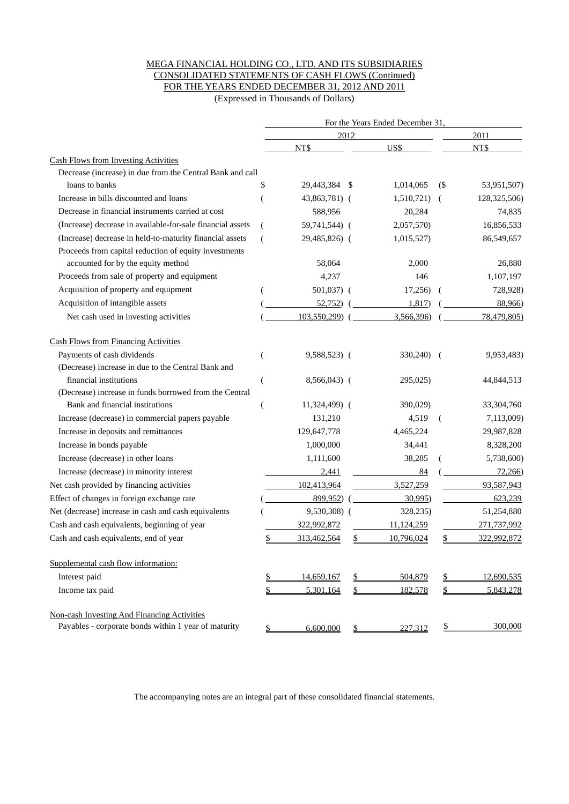### MEGA FINANCIAL HOLDING CO., LTD. AND ITS SUBSIDIARIES CONSOLIDATED STATEMENTS OF CASH FLOWS (Continued) FOR THE YEARS ENDED DECEMBER 31, 2012 AND 2011

(Expressed in Thousands of Dollars)

|                                                            |                |                |      | For the Years Ended December 31 |     |              |
|------------------------------------------------------------|----------------|----------------|------|---------------------------------|-----|--------------|
|                                                            |                |                | 2012 |                                 |     | 2011         |
|                                                            |                | NT\$           |      | US\$                            |     | NT\$         |
| <b>Cash Flows from Investing Activities</b>                |                |                |      |                                 |     |              |
| Decrease (increase) in due from the Central Bank and call  |                |                |      |                                 |     |              |
| loans to banks                                             | \$             | 29,443,384     | -S   | 1,014,065                       | (   | 53,951,507)  |
| Increase in bills discounted and loans                     |                | 43,863,781) (  |      | 1,510,721)                      | - ( | 128,325,506) |
| Decrease in financial instruments carried at cost          |                | 588,956        |      | 20,284                          |     | 74,835       |
| (Increase) decrease in available-for-sale financial assets | (              | 59,741,544) (  |      | 2,057,570)                      |     | 16,856,533   |
| (Increase) decrease in held-to-maturity financial assets   | $\overline{(}$ | 29,485,826) (  |      | 1,015,527)                      |     | 86,549,657   |
| Proceeds from capital reduction of equity investments      |                |                |      |                                 |     |              |
| accounted for by the equity method                         |                | 58,064         |      | 2,000                           |     | 26,880       |
| Proceeds from sale of property and equipment               |                | 4,237          |      | 146                             |     | 1,107,197    |
| Acquisition of property and equipment                      | (              | 501,037) (     |      | 17,256)                         | - ( | 728,928)     |
| Acquisition of intangible assets                           |                | 52,752)        |      | 1,817                           |     | 88,966)      |
| Net cash used in investing activities                      |                | 103,550,299) ( |      | 3,566,396)                      |     | 78,479,805)  |
| <b>Cash Flows from Financing Activities</b>                |                |                |      |                                 |     |              |
| Payments of cash dividends                                 | (              | 9,588,523) (   |      | 330,240)                        | - ( | 9,953,483)   |
| (Decrease) increase in due to the Central Bank and         |                |                |      |                                 |     |              |
| financial institutions                                     | (              | 8,566,043) (   |      | 295,025)                        |     | 44,844,513   |
| (Decrease) increase in funds borrowed from the Central     |                |                |      |                                 |     |              |
| Bank and financial institutions                            | €              | 11,324,499) (  |      | 390,029)                        |     | 33,304,760   |
| Increase (decrease) in commercial papers payable           |                | 131,210        |      | 4,519                           | (   | 7,113,009)   |
| Increase in deposits and remittances                       |                | 129,647,778    |      | 4,465,224                       |     | 29,987,828   |
| Increase in bonds payable                                  |                | 1,000,000      |      | 34,441                          |     | 8,328,200    |
| Increase (decrease) in other loans                         |                | 1,111,600      |      | 38,285                          |     | 5,738,600)   |
| Increase (decrease) in minority interest                   |                | 2,441          |      | 84                              |     | 72,266       |
| Net cash provided by financing activities                  |                | 102,413,964    |      | 3,527,259                       |     | 93,587,943   |
| Effect of changes in foreign exchange rate                 |                | 899,952)       |      | 30,995                          |     | 623,239      |
| Net (decrease) increase in cash and cash equivalents       |                | 9,530,308) (   |      | 328,235)                        |     | 51,254,880   |
| Cash and cash equivalents, beginning of year               |                | 322,992,872    |      | 11,124,259                      |     | 271,737,992  |
| Cash and cash equivalents, end of year                     |                | 313,462,564    |      | 10,796,024                      |     | 322,992,872  |
| Supplemental cash flow information:                        |                |                |      |                                 |     |              |
| Interest paid                                              | \$             | 14,659,167     | \$   | 504,879                         |     | 12,690,535   |
| Income tax paid                                            | \$             | 5,301,164      | \$   | 182,578                         |     | 5,843,278    |
| Non-cash Investing And Financing Activities                |                |                |      |                                 |     |              |
| Payables - corporate bonds within 1 year of maturity       | \$             | 6,600,000      | \$   | 227,312                         | \$  | 300,000      |

The accompanying notes are an integral part of these consolidated financial statements.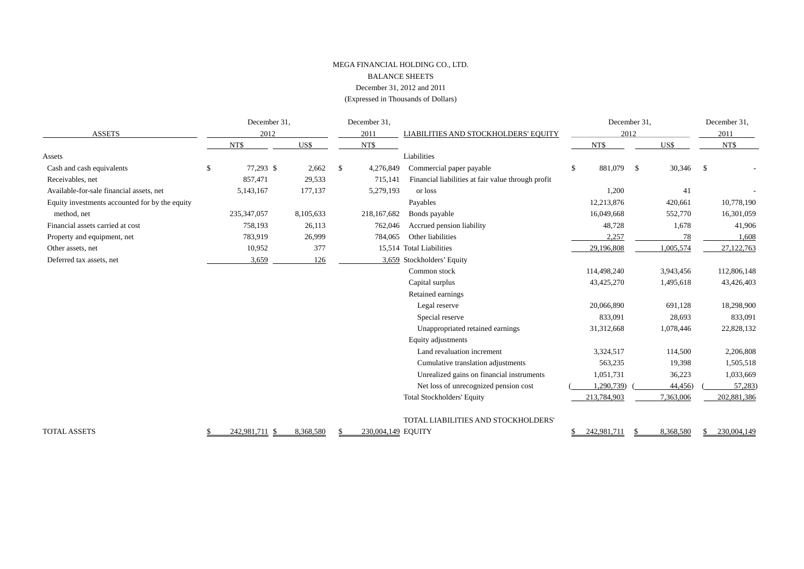#### MEGA FINANCIAL HOLDING CO., LTD. BALANCE SHEETS December 31, 2012 and 2011 (Expressed in Thousands of Dollars)

|                                                | December 31,    |           |    | December 31,       |                                                    |                  | December 31, | December 31, |  |
|------------------------------------------------|-----------------|-----------|----|--------------------|----------------------------------------------------|------------------|--------------|--------------|--|
| <b>ASSETS</b>                                  | 2012            |           |    | 2011               | LIABILITIES AND STOCKHOLDERS' EQUITY               |                  | 2012         | 2011         |  |
|                                                | NT\$            | US\$      |    | NT\$               |                                                    | NT\$             | US\$         | NT\$         |  |
| Assets                                         |                 |           |    |                    | Liabilities                                        |                  |              |              |  |
| Cash and cash equivalents                      | \$<br>77,293 \$ | 2,662     | -S | 4,276,849          | Commercial paper payable                           | 881,079 \$<br>£. | 30,346       | $\mathbf{s}$ |  |
| Receivables, net                               | 857,471         | 29,533    |    | 715,141            | Financial liabilities at fair value through profit |                  |              |              |  |
| Available-for-sale financial assets, net       | 5,143,167       | 177,137   |    | 5,279,193          | or loss                                            | 1,200            | 41           |              |  |
| Equity investments accounted for by the equity |                 |           |    |                    | Payables                                           | 12,213,876       | 420,661      | 10,778,190   |  |
| method, net                                    | 235, 347, 057   | 8,105,633 |    | 218,167,682        | Bonds payable                                      | 16,049,668       | 552,770      | 16,301,059   |  |
| Financial assets carried at cost               | 758,193         | 26,113    |    | 762,046            | Accrued pension liability                          | 48,728           | 1,678        | 41,906       |  |
| Property and equipment, net                    | 783,919         | 26,999    |    | 784,065            | Other liabilities                                  | 2,257            | 78           | 1,608        |  |
| Other assets, net                              | 10,952          | 377       |    |                    | 15,514 Total Liabilities                           | 29,196,808       | 1,005,574    | 27,122,763   |  |
| Deferred tax assets, net                       | 3,659           | 126       |    |                    | 3,659 Stockholders' Equity                         |                  |              |              |  |
|                                                |                 |           |    |                    | Common stock                                       | 114,498,240      | 3,943,456    | 112,806,148  |  |
|                                                |                 |           |    |                    | Capital surplus                                    | 43,425,270       | 1,495,618    | 43,426,403   |  |
|                                                |                 |           |    |                    | Retained earnings                                  |                  |              |              |  |
|                                                |                 |           |    |                    | Legal reserve                                      | 20,066,890       | 691,128      | 18,298,900   |  |
|                                                |                 |           |    |                    | Special reserve                                    | 833,091          | 28,693       | 833,091      |  |
|                                                |                 |           |    |                    | Unappropriated retained earnings                   | 31,312,668       | 1,078,446    | 22,828,132   |  |
|                                                |                 |           |    |                    | Equity adjustments                                 |                  |              |              |  |
|                                                |                 |           |    |                    | Land revaluation increment                         | 3,324,517        | 114,500      | 2,206,808    |  |
|                                                |                 |           |    |                    | Cumulative translation adjustments                 | 563,235          | 19,398       | 1,505,518    |  |
|                                                |                 |           |    |                    | Unrealized gains on financial instruments          | 1,051,731        | 36,223       | 1,033,669    |  |
|                                                |                 |           |    |                    | Net loss of unrecognized pension cost              | 1.290.739)       | 44,456)      | 57,283)      |  |
|                                                |                 |           |    |                    | <b>Total Stockholders' Equity</b>                  | 213,784,903      | 7,363,006    | 202,881,386  |  |
|                                                |                 |           |    |                    | TOTAL LIABILITIES AND STOCKHOLDERS'                |                  |              |              |  |
| <b>TOTAL ASSETS</b>                            | 242,981,711     | 8,368,580 |    | 230,004,149 EQUITY |                                                    | 242,981,711      | 8,368,580    | 230,004,149  |  |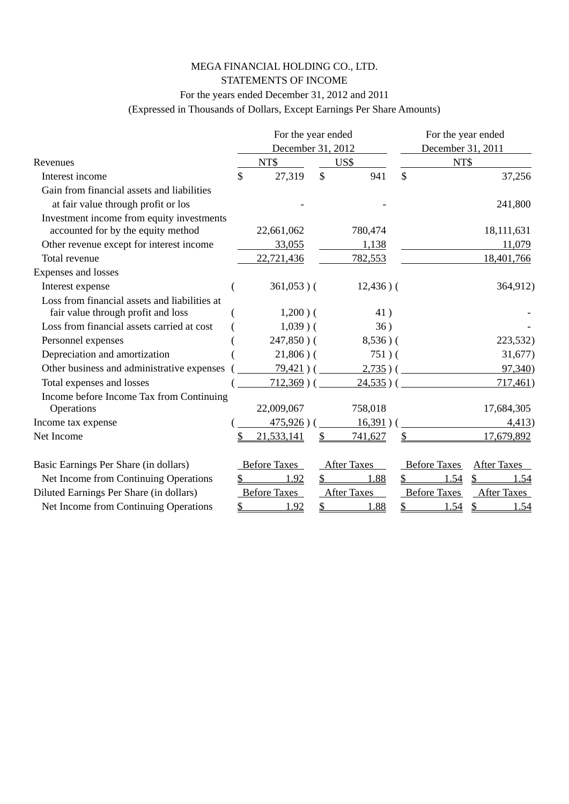### MEGA FINANCIAL HOLDING CO., LTD. STATEMENTS OF INCOME

### For the years ended December 31, 2012 and 2011

(Expressed in Thousands of Dollars, Except Earnings Per Share Amounts)

|                                               |    | For the year ended  |              |                    | For the year ended |                     |                    |  |
|-----------------------------------------------|----|---------------------|--------------|--------------------|--------------------|---------------------|--------------------|--|
|                                               |    | December 31, 2012   |              |                    |                    | December 31, 2011   |                    |  |
| Revenues                                      |    | NT\$                |              | US\$               |                    | NT\$                |                    |  |
| Interest income                               | \$ | 27,319              | $\mathbb{S}$ | 941                | $\mathsf{\$}$      |                     | 37,256             |  |
| Gain from financial assets and liabilities    |    |                     |              |                    |                    |                     |                    |  |
| at fair value through profit or los           |    |                     |              |                    |                    |                     | 241,800            |  |
| Investment income from equity investments     |    |                     |              |                    |                    |                     |                    |  |
| accounted for by the equity method            |    | 22,661,062          |              | 780,474            |                    |                     | 18,111,631         |  |
| Other revenue except for interest income      |    | 33,055              |              | 1,138              |                    |                     | 11,079             |  |
| Total revenue                                 |    | 22,721,436          |              | 782,553            |                    |                     | 18,401,766         |  |
| Expenses and losses                           |    |                     |              |                    |                    |                     |                    |  |
| Interest expense                              |    | $361,053$ )(        |              | $12,436$ ) (       |                    |                     | 364,912)           |  |
| Loss from financial assets and liabilities at |    |                     |              |                    |                    |                     |                    |  |
| fair value through profit and loss            |    | $1,200$ ) (         |              | 41)                |                    |                     |                    |  |
| Loss from financial assets carried at cost    |    | $1,039$ ) (         |              | 36)                |                    |                     |                    |  |
| Personnel expenses                            |    | $247,850$ ) (       |              | $8,536$ ) (        |                    |                     | 223,532)           |  |
| Depreciation and amortization                 |    | $21,806$ ) (        |              | $751)$ (           |                    |                     | 31,677)            |  |
| Other business and administrative expenses    |    | $79,421)$ (         |              | 2,735)             |                    |                     | 97,340)            |  |
| Total expenses and losses                     |    | $712,369$ )(        |              | 24,535)            |                    |                     | 717,461)           |  |
| Income before Income Tax from Continuing      |    |                     |              |                    |                    |                     |                    |  |
| Operations                                    |    | 22,009,067          |              | 758,018            |                    |                     | 17,684,305         |  |
| Income tax expense                            |    | $475,926$ )         |              | 16,391)            |                    |                     | 4,413)             |  |
| Net Income                                    | S  | 21,533,141          |              | 741,627            |                    |                     | 17,679,892         |  |
| Basic Earnings Per Share (in dollars)         |    | <b>Before Taxes</b> |              | <b>After Taxes</b> |                    | <b>Before Taxes</b> | <b>After Taxes</b> |  |
| Net Income from Continuing Operations         |    | <u>1.92</u>         | \$           | 1.88               |                    | 1.54                | \$<br><u>1.54</u>  |  |
| Diluted Earnings Per Share (in dollars)       |    | <b>Before Taxes</b> |              | <b>After Taxes</b> |                    | <b>Before Taxes</b> | <b>After Taxes</b> |  |
| Net Income from Continuing Operations         | S  | 1.92                | \$           | 1.88               | \$                 | 1.54                | \$<br>1.54         |  |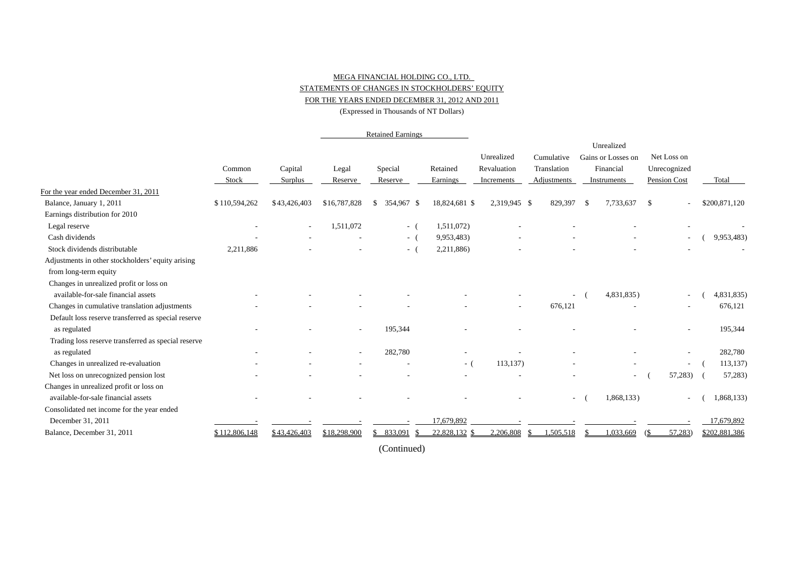#### MEGA FINANCIAL HOLDING CO., LTD. STATEMENTS OF CHANGES IN STOCKHOLDERS' EQUITY FOR THE YEARS ENDED DECEMBER 31, 2012 AND 2011

(Expressed in Thousands of NT Dollars)

|                                                     |                          |                          |                | <b>Retained Earnings</b> |               |              |             |      |                    |              |                          |               |
|-----------------------------------------------------|--------------------------|--------------------------|----------------|--------------------------|---------------|--------------|-------------|------|--------------------|--------------|--------------------------|---------------|
|                                                     |                          |                          |                |                          |               |              |             |      | Unrealized         |              |                          |               |
|                                                     |                          |                          |                |                          |               | Unrealized   | Cumulative  |      | Gains or Losses on |              | Net Loss on              |               |
|                                                     | Common                   | Capital                  | Legal          | Special                  | Retained      | Revaluation  | Translation |      | Financial          |              | Unrecognized             |               |
|                                                     | Stock                    | Surplus                  | Reserve        | Reserve                  | Earnings      | Increments   | Adjustments |      | Instruments        | Pension Cost |                          | Total         |
| For the year ended December 31, 2011                |                          |                          |                |                          |               |              |             |      |                    |              |                          |               |
| Balance, January 1, 2011                            | \$110,594,262            | \$43,426,403             | \$16,787,828   | 354,967 \$<br>\$         | 18,824,681 \$ | 2,319,945 \$ | 829,397     | - \$ | 7,733,637          | \$           |                          | \$200,871,120 |
| Earnings distribution for 2010                      |                          |                          |                |                          |               |              |             |      |                    |              |                          |               |
| Legal reserve                                       | $\overline{\phantom{a}}$ | $\overline{\phantom{a}}$ | 1,511,072      | $-$ (                    | 1,511,072)    |              |             |      |                    |              |                          |               |
| Cash dividends                                      |                          |                          |                | $-$ (                    | 9,953,483)    |              |             |      |                    |              | $\overline{\phantom{a}}$ | 9,953,483)    |
| Stock dividends distributable                       | 2,211,886                |                          |                | $-$ (                    | 2,211,886)    |              |             |      |                    |              |                          |               |
| Adjustments in other stockholders' equity arising   |                          |                          |                |                          |               |              |             |      |                    |              |                          |               |
| from long-term equity                               |                          |                          |                |                          |               |              |             |      |                    |              |                          |               |
| Changes in unrealized profit or loss on             |                          |                          |                |                          |               |              |             |      |                    |              |                          |               |
| available-for-sale financial assets                 |                          |                          |                |                          |               |              |             |      | 4,831,835)         |              | $\overline{\phantom{a}}$ | 4,831,835)    |
| Changes in cumulative translation adjustments       |                          |                          |                |                          |               |              | 676,121     |      |                    |              |                          | 676,121       |
| Default loss reserve transferred as special reserve |                          |                          |                |                          |               |              |             |      |                    |              |                          |               |
| as regulated                                        |                          |                          | $\overline{a}$ | 195,344                  |               |              |             |      |                    |              | ٠                        | 195,344       |
| Trading loss reserve transferred as special reserve |                          |                          |                |                          |               |              |             |      |                    |              |                          |               |
| as regulated                                        |                          |                          |                | 282,780                  |               |              |             |      |                    |              |                          | 282,780       |
| Changes in unrealized re-evaluation                 |                          |                          |                |                          | $-$ (         | 113, 137)    |             |      |                    |              | $\overline{\phantom{a}}$ | 113,137)      |
| Net loss on unrecognized pension lost               |                          |                          |                |                          |               |              |             |      | $\sim$             |              | 57,283)                  | 57,283)       |
| Changes in unrealized profit or loss on             |                          |                          |                |                          |               |              |             |      |                    |              |                          |               |
| available-for-sale financial assets                 |                          |                          |                |                          |               |              | $\sim$      |      | 1,868,133)         |              |                          | 1,868,133)    |
| Consolidated net income for the year ended          |                          |                          |                |                          |               |              |             |      |                    |              |                          |               |
| December 31, 2011                                   |                          |                          |                |                          | 17,679,892    |              |             |      |                    |              |                          | 17,679,892    |
| Balance, December 31, 2011                          | \$112,806,148            | \$43,426,403             | \$18,298,900   | \$833,091                | 22,828,132 \$ | 2,206,808    | 1,505,518   |      | 1,033,669          |              | 57,283                   | \$202,881,386 |

(Continued)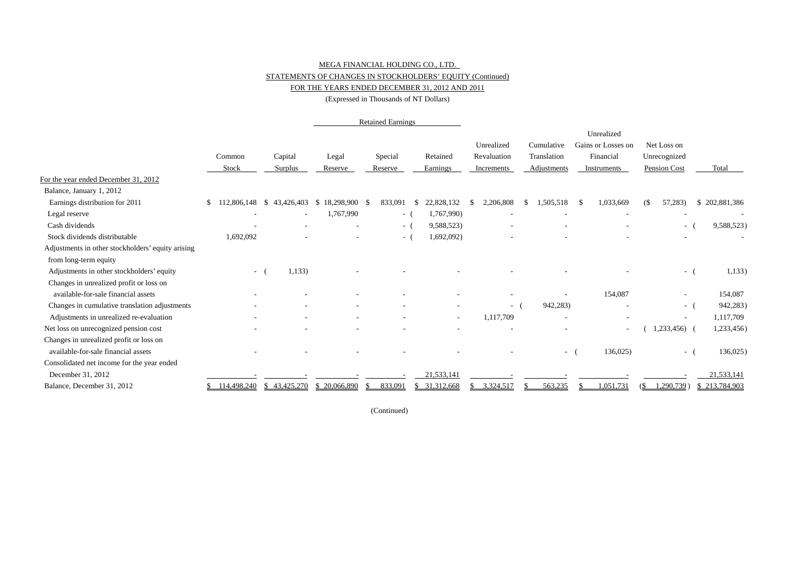### MEGA FINANCIAL HOLDING CO., LTD.

#### STATEMENTS OF CHANGES IN STOCKHOLDERS' EQUITY (Continued)

#### FOR THE YEARS ENDED DECEMBER 31, 2012 AND 2011

(Expressed in Thousands of NT Dollars)

|                                                   |                                  |                |              | <b>Retained Earnings</b> |                          |             |             |                          |                     |               |
|---------------------------------------------------|----------------------------------|----------------|--------------|--------------------------|--------------------------|-------------|-------------|--------------------------|---------------------|---------------|
|                                                   |                                  |                |              |                          |                          |             |             | Unrealized               |                     |               |
|                                                   |                                  |                |              |                          |                          | Unrealized  | Cumulative  | Gains or Losses on       | Net Loss on         |               |
|                                                   | Common                           | Capital        | Legal        | Special                  | Retained                 | Revaluation | Translation | Financial                | Unrecognized        |               |
|                                                   | Stock                            | <b>Surplus</b> | Reserve      | Reserve                  | Earnings                 | Increments  | Adjustments | Instruments              | Pension Cost        | Total         |
| For the year ended December 31, 2012              |                                  |                |              |                          |                          |             |             |                          |                     |               |
| Balance, January 1, 2012                          |                                  |                |              |                          |                          |             |             |                          |                     |               |
| Earnings distribution for 2011                    | 112,806,148 \$<br>\$             | 43,426,403     | \$18,298,900 | 833,091<br>- \$          | 22,828,132<br>- \$       | 2,206,808   | 1,505,518   | 1,033,669<br>-S          | 57,283)<br>$\sigma$ | \$202,881,386 |
| Legal reserve                                     | ٠                                |                | 1,767,990    | $-$ (                    | 1,767,990)               |             |             | $\overline{\phantom{a}}$ |                     |               |
| Cash dividends                                    |                                  |                |              | $-$ (                    | 9,588,523)               |             |             |                          | $\sim$              | 9,588,523)    |
| Stock dividends distributable                     | 1,692,092                        |                |              | $-1$                     | 1,692,092)               |             |             |                          |                     |               |
| Adjustments in other stockholders' equity arising |                                  |                |              |                          |                          |             |             |                          |                     |               |
| from long-term equity                             |                                  |                |              |                          |                          |             |             |                          |                     |               |
| Adjustments in other stockholders' equity         | $ ($                             | 1,133)         |              |                          |                          |             |             |                          | $\sim$              | 1,133)        |
| Changes in unrealized profit or loss on           |                                  |                |              |                          |                          |             |             |                          |                     |               |
| available-for-sale financial assets               |                                  |                |              |                          |                          |             |             | 154,087                  |                     | 154,087       |
| Changes in cumulative translation adjustments     |                                  |                |              |                          |                          | $-$ (       | 942,283)    |                          | $\sim$ $-$          | 942,283)      |
| Adjustments in unrealized re-evaluation           |                                  |                |              |                          | $\overline{\phantom{a}}$ | 1,117,709   |             |                          | $\sim$              | 1,117,709     |
| Net loss on unrecognized pension cost             |                                  |                |              |                          |                          |             |             |                          | 1,233,456)          | 1,233,456)    |
| Changes in unrealized profit or loss on           |                                  |                |              |                          |                          |             |             |                          |                     |               |
| available-for-sale financial assets               |                                  |                |              |                          |                          |             | $\sim$      | 136,025                  | $\sim$ $-$          | $136,025$ )   |
| Consolidated net income for the year ended        |                                  |                |              |                          |                          |             |             |                          |                     |               |
| December 31, 2012                                 |                                  |                |              |                          | 21,533,141               |             |             |                          |                     | 21,533,141    |
| Balance, December 31, 2012                        | $$114,498,240 \quad $43,425,270$ |                | \$20,066,890 | 833,091<br>-S            | \$ 31,312,668            | 3,324,517   | 563,235     | .051,731                 | $290,739$ )<br>GS.  | \$213,784,903 |

(Continued)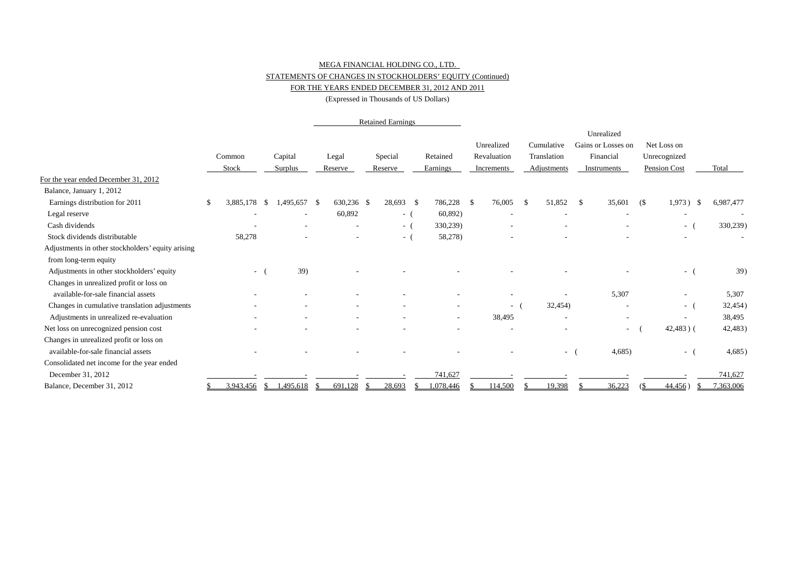#### MEGA FINANCIAL HOLDING CO., LTD. STATEMENTS OF CHANGES IN STOCKHOLDERS' EQUITY (Continued)

### FOR THE YEARS ENDED DECEMBER 31, 2012 AND 2011

(Expressed in Thousands of US Dollars)

|                                                   |                          |      |                          | <b>Retained Earnings</b> |            |  |           |                          |      |             |     |                          |     |                          |    |                          |                          |
|---------------------------------------------------|--------------------------|------|--------------------------|--------------------------|------------|--|-----------|--------------------------|------|-------------|-----|--------------------------|-----|--------------------------|----|--------------------------|--------------------------|
|                                                   |                          |      |                          |                          |            |  |           |                          |      |             |     |                          |     | Unrealized               |    |                          |                          |
|                                                   |                          |      |                          |                          |            |  |           |                          |      | Unrealized  |     | Cumulative               |     | Gains or Losses on       |    | Net Loss on              |                          |
|                                                   | Common                   |      | Capital                  |                          | Legal      |  | Special   | Retained                 |      | Revaluation |     | Translation              |     | Financial                |    | Unrecognized             |                          |
|                                                   | Stock                    |      | Surplus                  |                          | Reserve    |  | Reserve   | Earnings                 |      | Increments  |     | Adiustments              |     | Instruments              |    | Pension Cost             | Total                    |
| For the year ended December 31, 2012              |                          |      |                          |                          |            |  |           |                          |      |             |     |                          |     |                          |    |                          |                          |
| Balance, January 1, 2012                          |                          |      |                          |                          |            |  |           |                          |      |             |     |                          |     |                          |    |                          |                          |
| Earnings distribution for 2011                    | 3,885,178                | - S  | 1,495,657                | - \$                     | 630,236 \$ |  | 28,693 \$ | 786,228                  | - \$ | 76,005      | \$. | 51,852                   | -\$ | 35,601                   | (S | 1,973)<br>- \$           | 6,987,477                |
| Legal reserve                                     | $\overline{\phantom{a}}$ |      | $\overline{\phantom{a}}$ |                          | 60,892     |  | $-$ (     | 60,892)                  |      |             |     |                          |     |                          |    | $\overline{\phantom{a}}$ | $\overline{\phantom{a}}$ |
| Cash dividends                                    |                          |      |                          |                          |            |  | $-$ (     | 330,239)                 |      |             |     |                          |     |                          |    | $ -$                     | 330,239)                 |
| Stock dividends distributable                     | 58,278                   |      |                          |                          |            |  | $-$ (     | 58,278)                  |      |             |     |                          |     |                          |    | $\sim$                   |                          |
| Adjustments in other stockholders' equity arising |                          |      |                          |                          |            |  |           |                          |      |             |     |                          |     |                          |    |                          |                          |
| from long-term equity                             |                          |      |                          |                          |            |  |           |                          |      |             |     |                          |     |                          |    |                          |                          |
| Adjustments in other stockholders' equity         | $-$ (                    |      | 39)                      |                          |            |  |           |                          |      |             |     |                          |     |                          |    | $-1$                     | 39)                      |
| Changes in unrealized profit or loss on           |                          |      |                          |                          |            |  |           |                          |      |             |     |                          |     |                          |    |                          |                          |
| available-for-sale financial assets               |                          |      |                          |                          |            |  |           |                          |      |             |     |                          |     | 5,307                    |    |                          | 5,307                    |
| Changes in cumulative translation adjustments     |                          |      |                          |                          |            |  |           | $\overline{\phantom{0}}$ |      | $\sim 100$  |     | 32,454)                  |     |                          |    | $ -$                     | 32,454)                  |
| Adjustments in unrealized re-evaluation           |                          |      |                          |                          |            |  |           | $\overline{\phantom{a}}$ |      | 38,495      |     | $\overline{\phantom{a}}$ |     | $\overline{\phantom{a}}$ |    | $\sim$                   | 38,495                   |
| Net loss on unrecognized pension cost             |                          |      |                          |                          |            |  |           |                          |      |             |     |                          |     | $\sim$                   |    | $42,483$ ) (             | 42,483)                  |
| Changes in unrealized profit or loss on           |                          |      |                          |                          |            |  |           |                          |      |             |     |                          |     |                          |    |                          |                          |
| available-for-sale financial assets               |                          |      |                          |                          |            |  |           |                          |      |             |     | $\sim$                   |     | 4,685)                   |    | $\sim$                   | 4,685)                   |
| Consolidated net income for the year ended        |                          |      |                          |                          |            |  |           |                          |      |             |     |                          |     |                          |    |                          |                          |
| December 31, 2012                                 |                          |      |                          |                          |            |  |           | 741,627                  |      |             |     |                          |     |                          |    |                          | 741,627                  |
| Balance, December 31, 2012                        | 3,943,456                | - \$ | ,495,618                 | S                        | 691,128    |  | 28,693    | .078.446                 |      | 114,500     |     | 19,398                   |     | 36,223                   |    | 44,456)                  | 7,363,006                |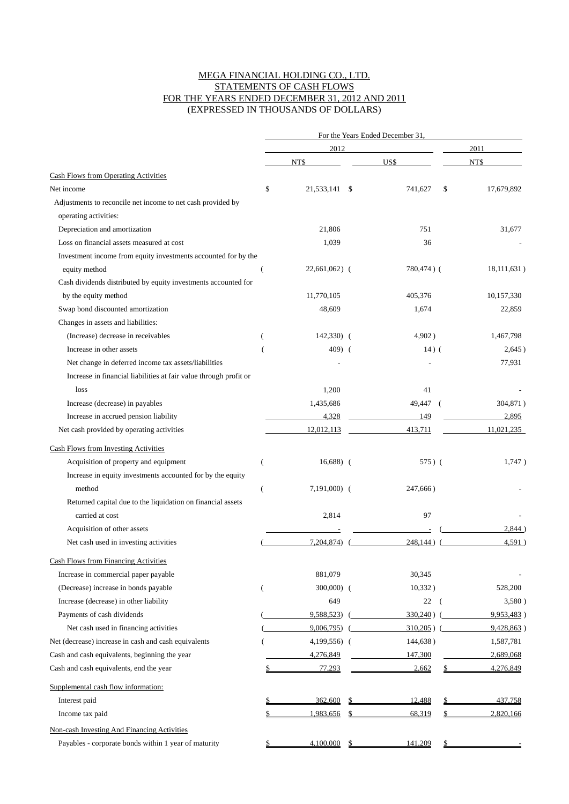### MEGA FINANCIAL HOLDING CO., LTD. STATEMENTS OF CASH FLOWS FOR THE YEARS ENDED DECEMBER 31, 2012 AND 2011 (EXPRESSED IN THOUSANDS OF DOLLARS)

|                                                                                |                | For the Years Ended December 31. |               |                  |  |  |  |  |
|--------------------------------------------------------------------------------|----------------|----------------------------------|---------------|------------------|--|--|--|--|
|                                                                                |                | 2012                             |               | 2011             |  |  |  |  |
|                                                                                |                | NT\$                             | US\$          | NT\$             |  |  |  |  |
| Cash Flows from Operating Activities                                           |                |                                  |               |                  |  |  |  |  |
| Net income                                                                     | \$             | 21,533,141<br>\$                 | 741,627       | \$<br>17,679,892 |  |  |  |  |
| Adjustments to reconcile net income to net cash provided by                    |                |                                  |               |                  |  |  |  |  |
| operating activities:                                                          |                |                                  |               |                  |  |  |  |  |
| Depreciation and amortization                                                  |                | 21,806                           | 751           | 31,677           |  |  |  |  |
| Loss on financial assets measured at cost                                      |                | 1,039                            | 36            |                  |  |  |  |  |
| Investment income from equity investments accounted for by the                 |                |                                  |               |                  |  |  |  |  |
| equity method                                                                  |                | $22,661,062$ (                   | 780,474) (    | 18,111,631)      |  |  |  |  |
| Cash dividends distributed by equity investments accounted for                 |                |                                  |               |                  |  |  |  |  |
| by the equity method                                                           |                | 11,770,105                       | 405,376       | 10,157,330       |  |  |  |  |
| Swap bond discounted amortization                                              |                | 48,609                           | 1,674         | 22,859           |  |  |  |  |
| Changes in assets and liabilities:                                             |                |                                  |               |                  |  |  |  |  |
| (Increase) decrease in receivables                                             |                | $142,330$ (                      | 4,902)        | 1,467,798        |  |  |  |  |
| Increase in other assets                                                       |                | $409$ (                          | $14)$ (       | 2,645)           |  |  |  |  |
| Net change in deferred income tax assets/liabilities                           |                |                                  |               | 77,931           |  |  |  |  |
| Increase in financial liabilities at fair value through profit or              |                |                                  |               |                  |  |  |  |  |
| loss                                                                           |                | 1,200                            | 41            |                  |  |  |  |  |
| Increase (decrease) in payables                                                |                | 1,435,686                        | 49,447<br>- ( | 304,871)         |  |  |  |  |
| Increase in accrued pension liability                                          |                | 4,328                            | 149           | 2,895            |  |  |  |  |
| Net cash provided by operating activities                                      |                | 12,012,113                       | 413,711       | 11,021,235       |  |  |  |  |
| <b>Cash Flows from Investing Activities</b>                                    |                |                                  |               |                  |  |  |  |  |
| Acquisition of property and equipment                                          | (              | $16,688$ (                       | 575) (        | 1,747)           |  |  |  |  |
| Increase in equity investments accounted for by the equity                     |                |                                  |               |                  |  |  |  |  |
| method                                                                         |                | $7,191,000$ (                    | 247,666)      |                  |  |  |  |  |
|                                                                                | $\overline{(}$ |                                  |               |                  |  |  |  |  |
| Returned capital due to the liquidation on financial assets<br>carried at cost |                | 2,814                            | 97            |                  |  |  |  |  |
|                                                                                |                |                                  |               | 2,844            |  |  |  |  |
| Acquisition of other assets<br>Net cash used in investing activities           |                | 7,204,874)                       | 248,144)      | 4,591)           |  |  |  |  |
|                                                                                |                |                                  |               |                  |  |  |  |  |
| Cash Flows from Financing Activities                                           |                |                                  |               |                  |  |  |  |  |
| Increase in commercial paper payable                                           |                | 881,079                          | 30,345        |                  |  |  |  |  |
| (Decrease) increase in bonds payable                                           | €              | $300,000)$ (                     | 10,332)       | 528,200          |  |  |  |  |
| Increase (decrease) in other liability                                         |                | 649                              | 22<br>- (     | 3,580)           |  |  |  |  |
| Payments of cash dividends                                                     |                | 9,588,523)                       | $330,240$ ) ( | 9,953,483)       |  |  |  |  |
| Net cash used in financing activities                                          |                | 9,006,795)                       | $310,205$ ) ( | 9,428,863)       |  |  |  |  |
| Net (decrease) increase in cash and cash equivalents                           |                | 4,199,556) (                     | 144,638)      | 1,587,781        |  |  |  |  |
| Cash and cash equivalents, beginning the year                                  |                | 4,276,849                        | 147,300       | 2,689,068        |  |  |  |  |
| Cash and cash equivalents, end the year                                        |                | 77,293                           | 2,662         | \$<br>4,276,849  |  |  |  |  |
| Supplemental cash flow information:                                            |                |                                  |               |                  |  |  |  |  |
| Interest paid                                                                  |                | 362,600                          | 12,488        | 437,758          |  |  |  |  |
| Income tax paid                                                                |                | 1,983,656                        | 68,319        | 2,820,166        |  |  |  |  |
| Non-cash Investing And Financing Activities                                    |                |                                  |               |                  |  |  |  |  |
| Payables - corporate bonds within 1 year of maturity                           |                | 4,100,000                        | 141,209       |                  |  |  |  |  |